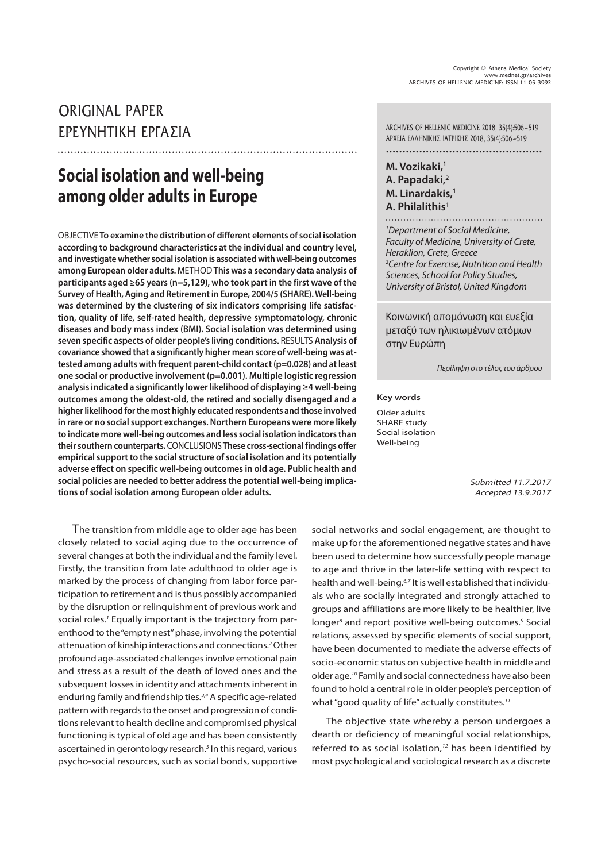# ORIGINAL PAPER

# **Social isolation and well-being among older adults in Europe**

OBJECTIVE **To examine the distribution of different elements of social isolation according to background characteristics at the individual and country level, and investigate whether social isolation is associated with well-being outcomes among European older adults.** METHOD **This was a secondary data analysis of participants aged ≥65 years (n=5,129), who took part in the first wave of the Survey of Health, Aging and Retirement in Europe, 2004/5 (SHARE). Well-being was determined by the clustering of six indicators comprising life satisfaction, quality of life, self-rated health, depressive symptomatology, chronic diseases and body mass index (BMI). Social isolation was determined using seven specific aspects of older people's living conditions.** RESULTS **Analysis of covariance showed that a significantly higher mean score of well-being was attested among adults with frequent parent-child contact (p=0.028) and at least one social or productive involvement (p=0.001). Multiple logistic regression analysis indicated a significantly lower likelihood of displaying ≥4 well-being outcomes among the oldest-old, the retired and socially disengaged and a higher likelihood for the most highly educated respondents and those involved in rare or no social support exchanges. Northern Europeans were more likely to indicate more well-being outcomes and less social isolation indicators than their southern counterparts.** CONCLUSIONS **These cross-sectional findings offer empirical support to the social structure of social isolation and its potentially adverse effect on specific well-being outcomes in old age. Public health and social policies are needed to better address the potential well-being implications of social isolation among European older adults.**

The transition from middle age to older age has been closely related to social aging due to the occurrence of several changes at both the individual and the family level. Firstly, the transition from late adulthood to older age is marked by the process of changing from labor force participation to retirement and is thus possibly accompanied by the disruption or relinquishment of previous work and social roles.<sup>1</sup> Equally important is the trajectory from parenthood to the "empty nest" phase, involving the potential attenuation of kinship interactions and connections.<sup>2</sup> Other profound age-associated challenges involve emotional pain and stress as a result of the death of loved ones and the subsequent losses in identity and attachments inherent in enduring family and friendship ties.<sup>3,4</sup> A specific age-related pattern with regards to the onset and progression of conditions relevant to health decline and compromised physical functioning is typical of old age and has been consistently ascertained in gerontology research.<sup>5</sup> In this regard, various psycho-social resources, such as social bonds, supportive

ÔàÔãÜÖâØÙÖÔàÓÑáØÑ ARCHIVES OF HELLENIC MEDICINE 2018, 35(4):506-519 AΡΧΕΙΑ ΕΛΛΗΝΙΚΗΣ ΙΑΤΡΙΚΗΣ 2018, 35(4):506-519 ...............................................

> **M. Vozikaki,<sup>1</sup> A. Papadaki,<sup>2</sup> M. Linardakis,<sup>1</sup> A. Philalithis<sup>1</sup>**

<sup>1</sup>Department of Social Medicine,

Faculty of Medicine, University of Crete, Heraklion, Crete, Greece <sup>2</sup>Centre for Exercise, Nutrition and Health Sciences, School for Policy Studies, University of Bristol, United Kingdom

Κοινωνική απομόνωση και ευεξία μεταξύ των ηλικιωμένων ατόμων στην Ευρώπη

Περίληψη στο τέλος του άρθρου

#### **Key words**

Older adults SHARE study Social isolation Well-being

> Submitted 11.7.2017 Accepted 13.9.2017

social networks and social engagement, are thought to make up for the aforementioned negative states and have been used to determine how successfully people manage to age and thrive in the later-life setting with respect to health and well-being.6,7 It is well established that individuals who are socially integrated and strongly attached to groups and affiliations are more likely to be healthier, live longer<sup>8</sup> and report positive well-being outcomes.<sup>9</sup> Social relations, assessed by specific elements of social support, have been documented to mediate the adverse effects of socio-economic status on subjective health in middle and older age.10 Family and social connectedness have also been found to hold a central role in older people's perception of what "good quality of life" actually constitutes.<sup>11</sup>

The objective state whereby a person undergoes a dearth or deficiency of meaningful social relationships, referred to as social isolation, $12$  has been identified by most psychological and sociological research as a discrete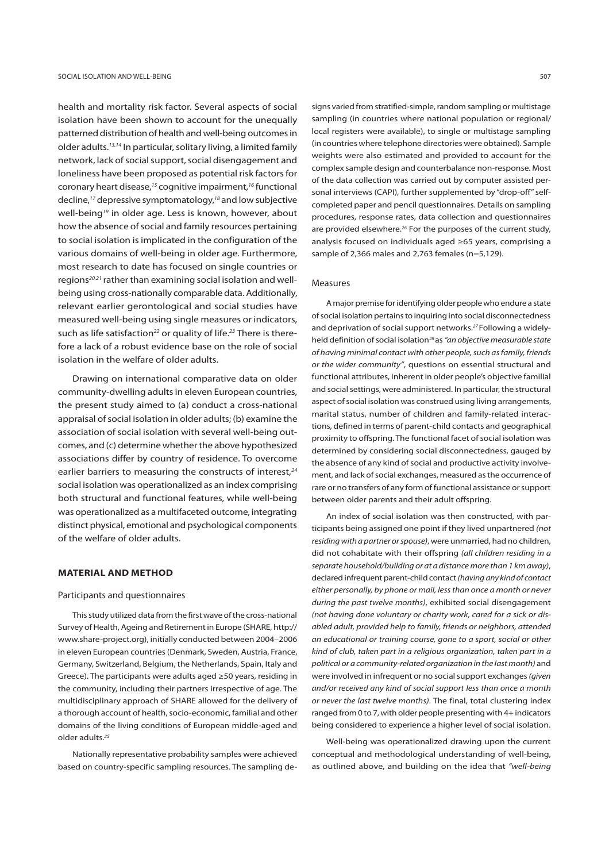health and mortality risk factor. Several aspects of social isolation have been shown to account for the unequally patterned distribution of health and well-being outcomes in older adults.13,14 In particular, solitary living, a limited family network, lack of social support, social disengagement and loneliness have been proposed as potential risk factors for coronary heart disease,15 cognitive impairment,16 functional decline,17 depressive symptomatology,18 and low subjective well-being<sup>19</sup> in older age. Less is known, however, about how the absence of social and family resources pertaining to social isolation is implicated in the configuration of the various domains of well-being in older age. Furthermore, most research to date has focused on single countries or regions<sup>20,21</sup> rather than examining social isolation and wellbeing using cross-nationally comparable data. Additionally, relevant earlier gerontological and social studies have measured well-being using single measures or indicators, such as life satisfaction<sup>22</sup> or quality of life.<sup>23</sup> There is therefore a lack of a robust evidence base on the role of social isolation in the welfare of older adults.

Drawing on international comparative data on older community-dwelling adults in eleven European countries, the present study aimed to (a) conduct a cross-national appraisal of social isolation in older adults; (b) examine the association of social isolation with several well-being outcomes, and (c) determine whether the above hypothesized associations differ by country of residence. To overcome earlier barriers to measuring the constructs of interest,<sup>24</sup> social isolation was operationalized as an index comprising both structural and functional features, while well-being was operationalized as a multifaceted outcome, integrating distinct physical, emotional and psychological components of the welfare of older adults.

## **MATERIAL AND METHOD**

#### Participants and questionnaires

This study utilized data from the first wave of the cross-national Survey of Health, Ageing and Retirement in Europe (SHARE, http:// www.share-project.org), initially conducted between 2004–2006 in eleven European countries (Denmark, Sweden, Austria, France, Germany, Switzerland, Belgium, the Netherlands, Spain, Italy and Greece). The participants were adults aged ≥50 years, residing in the community, including their partners irrespective of age. The multidisciplinary approach of SHARE allowed for the delivery of a thorough account of health, socio-economic, familial and other domains of the living conditions of European middle-aged and older adults.<sup>25</sup>

Nationally representative probability samples were achieved based on country-specific sampling resources. The sampling de-

signs varied from stratified-simple, random sampling or multistage sampling (in countries where national population or regional/ local registers were available), to single or multistage sampling (in countries where telephone directories were obtained). Sample weights were also estimated and provided to account for the complex sample design and counterbalance non-response. Most of the data collection was carried out by computer assisted personal interviews (CAPI), further supplemented by "drop-off" selfcompleted paper and pencil questionnaires. Details on sampling procedures, response rates, data collection and questionnaires are provided elsewhere.<sup>26</sup> For the purposes of the current study, analysis focused on individuals aged ≥65 years, comprising a sample of 2,366 males and 2,763 females (n=5,129).

#### Measures

A major premise for identifying older people who endure a state of social isolation pertains to inquiring into social disconnectedness and deprivation of social support networks.<sup>27</sup> Following a widelyheld definition of social isolation<sup>28</sup> as "an objective measurable state of having minimal contact with other people, such as family, friends or the wider community", questions on essential structural and functional attributes, inherent in older people's objective familial and social settings, were administered. In particular, the structural aspect of social isolation was construed using living arrangements, marital status, number of children and family-related interactions, defined in terms of parent-child contacts and geographical proximity to offspring. The functional facet of social isolation was determined by considering social disconnectedness, gauged by the absence of any kind of social and productive activity involvement, and lack of social exchanges, measured as the occurrence of rare or no transfers of any form of functional assistance or support between older parents and their adult offspring.

An index of social isolation was then constructed, with participants being assigned one point if they lived unpartnered (not residing with a partner or spouse), were unmarried, had no children, did not cohabitate with their offspring (all children residing in a separate household/building or at a distance more than 1 km away), declared infrequent parent-child contact (having any kind of contact either personally, by phone or mail, less than once a month or never during the past twelve months), exhibited social disengagement (not having done voluntary or charity work, cared for a sick or disabled adult, provided help to family, friends or neighbors, attended an educational or training course, gone to a sport, social or other kind of club, taken part in a religious organization, taken part in a political or a community-related organization in the last month) and were involved in infrequent or no social support exchanges (given and/or received any kind of social support less than once a month or never the last twelve months). The final, total clustering index ranged from 0 to 7, with older people presenting with 4+ indicators being considered to experience a higher level of social isolation.

Well-being was operationalized drawing upon the current conceptual and methodological understanding of well-being, as outlined above, and building on the idea that "well-being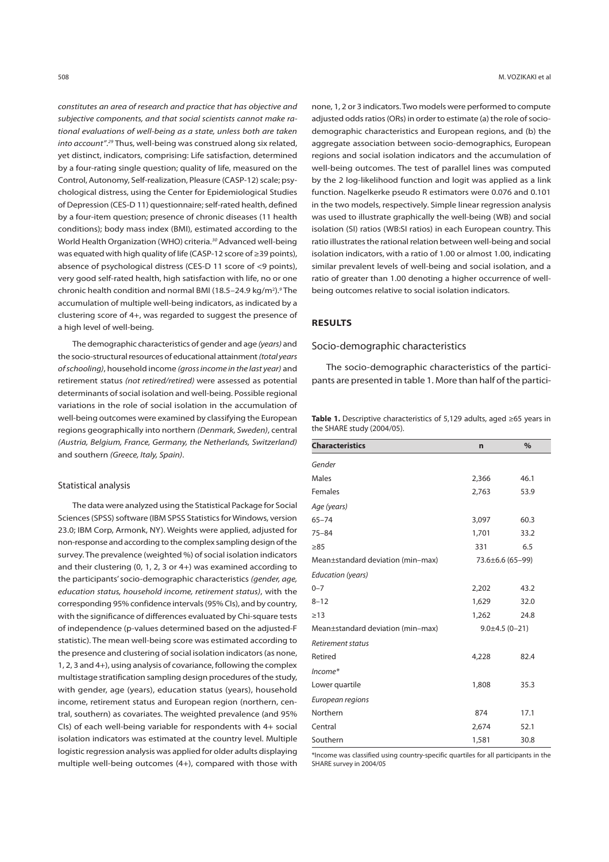constitutes an area of research and practice that has objective and subjective components, and that social scientists cannot make rational evaluations of well-being as a state, unless both are taken into account".<sup>29</sup> Thus, well-being was construed along six related, yet distinct, indicators, comprising: Life satisfaction, determined by a four-rating single question; quality of life, measured on the Control, Autonomy, Self-realization, Pleasure (CASP-12) scale; psychological distress, using the Center for Epidemiological Studies of Depression (CES-D 11) questionnaire; self-rated health, defined by a four-item question; presence of chronic diseases (11 health conditions); body mass index (BMI), estimated according to the World Health Organization (WHO) criteria.<sup>30</sup> Advanced well-being was equated with high quality of life (CASP-12 score of ≥39 points), absence of psychological distress (CES-D 11 score of <9 points), very good self-rated health, high satisfaction with life, no or one chronic health condition and normal BMI (18.5-24.9 kg/m<sup>2</sup>).<sup>9</sup> The accumulation of multiple well-being indicators, as indicated by a clustering score of 4+, was regarded to suggest the presence of a high level of well-being.

The demographic characteristics of gender and age (years) and the socio-structural resources of educational attainment (total years of schooling), household income (gross income in the last year) and retirement status (not retired/retired) were assessed as potential determinants of social isolation and well-being. Possible regional variations in the role of social isolation in the accumulation of well-being outcomes were examined by classifying the European regions geographically into northern (Denmark, Sweden), central (Austria, Belgium, France, Germany, the Netherlands, Switzerland) and southern (Greece, Italy, Spain).

## Statistical analysis

The data were analyzed using the Statistical Package for Social Sciences (SPSS) software (IBM SPSS Statistics for Windows, version 23.0; IBM Corp, Armonk, NY). Weights were applied, adjusted for non-response and according to the complex sampling design of the survey. The prevalence (weighted %) of social isolation indicators and their clustering (0, 1, 2, 3 or 4+) was examined according to the participants' socio-demographic characteristics (gender, age, education status, household income, retirement status), with the corresponding 95% confidence intervals (95% CIs), and by country, with the significance of differences evaluated by Chi-square tests of independence (p-values determined based on the adjusted-F statistic). The mean well-being score was estimated according to the presence and clustering of social isolation indicators (as none, 1, 2, 3 and 4+), using analysis of covariance, following the complex multistage stratification sampling design procedures of the study, with gender, age (years), education status (years), household income, retirement status and European region (northern, central, southern) as covariates. The weighted prevalence (and 95% CIs) of each well-being variable for respondents with 4+ social isolation indicators was estimated at the country level. Multiple logistic regression analysis was applied for older adults displaying multiple well-being outcomes (4+), compared with those with none, 1, 2 or 3 indicators. Two models were performed to compute adjusted odds ratios (ORs) in order to estimate (a) the role of sociodemographic characteristics and European regions, and (b) the aggregate association between socio-demographics, European regions and social isolation indicators and the accumulation of well-being outcomes. The test of parallel lines was computed by the 2 log-likelihood function and logit was applied as a link function. Nagelkerke pseudo R estimators were 0.076 and 0.101 in the two models, respectively. Simple linear regression analysis was used to illustrate graphically the well-being (WB) and social isolation (SI) ratios (WB:SI ratios) in each European country. This ratio illustrates the rational relation between well-being and social isolation indicators, with a ratio of 1.00 or almost 1.00, indicating similar prevalent levels of well-being and social isolation, and a ratio of greater than 1.00 denoting a higher occurrence of wellbeing outcomes relative to social isolation indicators.

# **RESULTS**

## Socio-demographic characteristics

The socio-demographic characteristics of the participants are presented in table 1. More than half of the partici-

|                            | Table 1. Descriptive characteristics of 5,129 adults, aged $\geq 65$ years in |  |  |
|----------------------------|-------------------------------------------------------------------------------|--|--|
| the SHARE study (2004/05). |                                                                               |  |  |

| <b>Characteristics</b>            | $\mathbf n$           | $\frac{0}{0}$ |
|-----------------------------------|-----------------------|---------------|
| Gender                            |                       |               |
| <b>Males</b>                      | 2,366                 | 46.1          |
| Females                           | 2,763                 | 53.9          |
| Age (years)                       |                       |               |
| $65 - 74$                         | 3,097                 | 60.3          |
| $75 - 84$                         | 1,701                 | 33.2          |
| $\geq 85$                         | 331                   | 6.5           |
| Mean±standard deviation (min-max) | 73.6±6.6 (65-99)      |               |
| Education (years)                 |                       |               |
| $0 - 7$                           | 2,202                 | 43.2          |
| $8 - 12$                          | 1,629                 | 32.0          |
| $\geq$ 13                         | 1,262                 | 24.8          |
| Mean±standard deviation (min-max) | $9.0 \pm 4.5(0 - 21)$ |               |
| Retirement status                 |                       |               |
| Retired                           | 4,228                 | 82.4          |
| $Income*$                         |                       |               |
| Lower quartile                    | 1,808                 | 35.3          |
| European regions                  |                       |               |
| Northern                          | 874                   | 17.1          |
| Central                           | 2,674                 | 52.1          |
| Southern                          | 1,581                 | 30.8          |

\*Income was classified using country-specific quartiles for all participants in the SHARE survey in 2004/05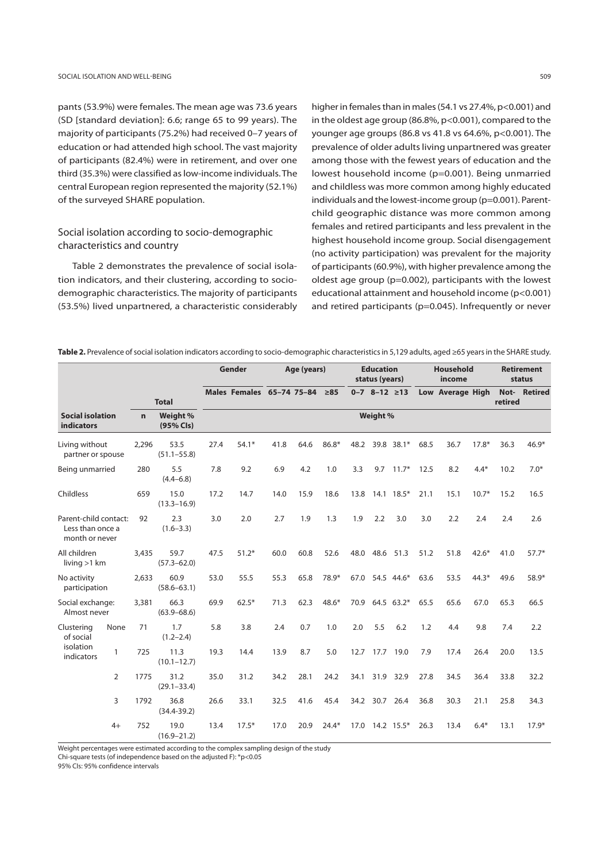pants (53.9%) were females. The mean age was 73.6 years (SD [standard deviation]: 6.6; range 65 to 99 years). The majority of participants (75.2%) had received 0–7 years of education or had attended high school. The vast majority of participants (82.4%) were in retirement, and over one third (35.3%) were classified as low-income individuals. The central European region represented the majority (52.1%) of the surveyed SHARE population.

# Social isolation according to socio-demographic characteristics and country

Table 2 demonstrates the prevalence of social isolation indicators, and their clustering, according to sociodemographic characteristics. The majority of participants (53.5%) lived unpartnered, a characteristic considerably higher in females than in males (54.1 vs 27.4%, p<0.001) and in the oldest age group (86.8%, p<0.001), compared to the younger age groups (86.8 vs 41.8 vs 64.6%, p<0.001). The prevalence of older adults living unpartnered was greater among those with the fewest years of education and the lowest household income (p=0.001). Being unmarried and childless was more common among highly educated individuals and the lowest-income group (p=0.001). Parentchild geographic distance was more common among females and retired participants and less prevalent in the highest household income group. Social disengagement (no activity participation) was prevalent for the majority of participants (60.9%), with higher prevalence among the oldest age group (p=0.002), participants with the lowest educational attainment and household income (p<0.001) and retired participants (p=0.045). Infrequently or never

| Table 2. Prevalence of social isolation indicators according to socio-demographic characteristics in 5,129 adults, aged ≥65 years in the SHARE study. |  |
|-------------------------------------------------------------------------------------------------------------------------------------------------------|--|
|                                                                                                                                                       |  |

|                                                             |              |              |                         |      | Gender                    |      | Age (years) |           |      | <b>Education</b><br>status (years) |            |      | <b>Household</b><br>income |         |         | <b>Retirement</b><br>status |
|-------------------------------------------------------------|--------------|--------------|-------------------------|------|---------------------------|------|-------------|-----------|------|------------------------------------|------------|------|----------------------------|---------|---------|-----------------------------|
|                                                             |              |              | <b>Total</b>            |      | Males Females 65-74 75-84 |      |             | $\geq 85$ |      | $0 - 7$ 8-12 $\geq 13$             |            |      | Low Average High           |         | retired | Not- Retired                |
| <b>Social isolation</b><br>indicators                       |              | $\mathbf{r}$ | Weight %<br>(95% Cls)   |      |                           |      |             |           |      | Weight %                           |            |      |                            |         |         |                             |
| Living without<br>partner or spouse                         |              | 2,296        | 53.5<br>$(51.1 - 55.8)$ | 27.4 | $54.1*$                   | 41.8 | 64.6        | 86.8*     | 48.2 |                                    | 39.8 38.1* | 68.5 | 36.7                       | $17.8*$ | 36.3    | 46.9*                       |
| Being unmarried                                             |              | 280          | 5.5<br>$(4.4 - 6.8)$    | 7.8  | 9.2                       | 6.9  | 4.2         | 1.0       | 3.3  | 9.7                                | $11.7*$    | 12.5 | 8.2                        | $4.4*$  | 10.2    | $7.0*$                      |
| Childless                                                   |              | 659          | 15.0<br>$(13.3 - 16.9)$ | 17.2 | 14.7                      | 14.0 | 15.9        | 18.6      | 13.8 |                                    | 14.1 18.5* | 21.1 | 15.1                       | $10.7*$ | 15.2    | 16.5                        |
| Parent-child contact:<br>Less than once a<br>month or never |              | 92           | 2.3<br>$(1.6 - 3.3)$    | 3.0  | 2.0                       | 2.7  | 1.9         | 1.3       | 1.9  | 2.2                                | 3.0        | 3.0  | 2.2                        | 2.4     | 2.4     | 2.6                         |
| All children<br>living $>1$ km                              |              | 3,435        | 59.7<br>$(57.3 - 62.0)$ | 47.5 | $51.2*$                   | 60.0 | 60.8        | 52.6      | 48.0 |                                    | 48.6 51.3  | 51.2 | 51.8                       | $42.6*$ | 41.0    | $57.7*$                     |
| No activity<br>participation                                |              | 2.633        | 60.9<br>$(58.6 - 63.1)$ | 53.0 | 55.5                      | 55.3 | 65.8        | 78.9*     | 67.0 |                                    | 54.5 44.6* | 63.6 | 53.5                       | $44.3*$ | 49.6    | 58.9*                       |
| Social exchange:<br>Almost never                            |              | 3,381        | 66.3<br>$(63.9 - 68.6)$ | 69.9 | $62.5*$                   | 71.3 | 62.3        | $48.6*$   | 70.9 |                                    | 64.5 63.2* | 65.5 | 65.6                       | 67.0    | 65.3    | 66.5                        |
| Clustering<br>of social                                     | None         | 71           | 1.7<br>$(1.2 - 2.4)$    | 5.8  | 3.8                       | 2.4  | 0.7         | 1.0       | 2.0  | 5.5                                | 6.2        | 1.2  | 4.4                        | 9.8     | 7.4     | 2.2                         |
| isolation<br>indicators                                     | $\mathbf{1}$ | 725          | 11.3<br>$(10.1 - 12.7)$ | 19.3 | 14.4                      | 13.9 | 8.7         | 5.0       |      | 12.7 17.7                          | 19.0       | 7.9  | 17.4                       | 26.4    | 20.0    | 13.5                        |
|                                                             | 2            | 1775         | 31.2<br>$(29.1 - 33.4)$ | 35.0 | 31.2                      | 34.2 | 28.1        | 24.2      | 34.1 | 31.9                               | 32.9       | 27.8 | 34.5                       | 36.4    | 33.8    | 32.2                        |
|                                                             | 3            | 1792         | 36.8<br>$(34.4 - 39.2)$ | 26.6 | 33.1                      | 32.5 | 41.6        | 45.4      |      | 34.2 30.7                          | 26.4       | 36.8 | 30.3                       | 21.1    | 25.8    | 34.3                        |
|                                                             | $4+$         | 752          | 19.0<br>$(16.9 - 21.2)$ | 13.4 | $17.5*$                   | 17.0 | 20.9        | $24.4*$   | 17.0 |                                    | 14.2 15.5* | 26.3 | 13.4                       | $6.4*$  | 13.1    | $17.9*$                     |

Weight percentages were estimated according to the complex sampling design of the study

Chi-square tests (of independence based on the adjusted F): \*p<0.05

95% CIs: 95% confidence intervals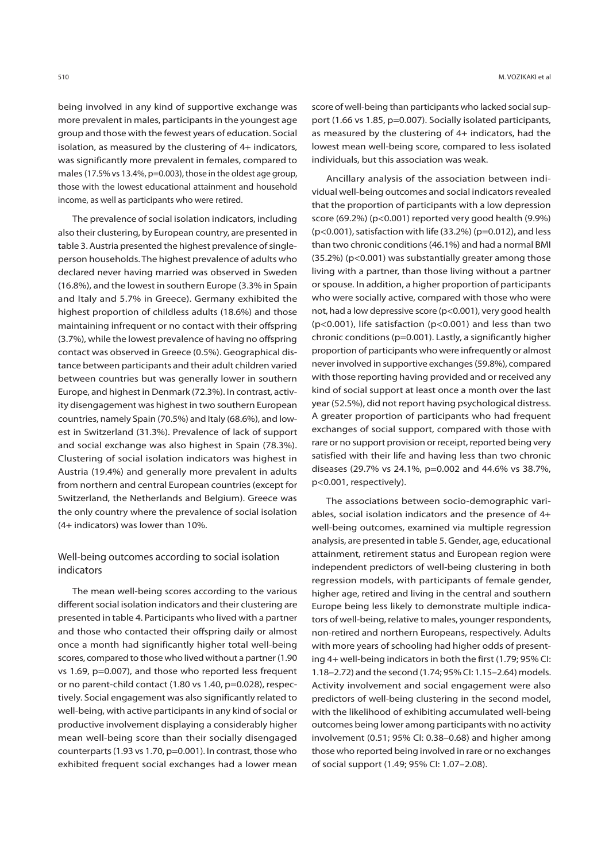being involved in any kind of supportive exchange was more prevalent in males, participants in the youngest age group and those with the fewest years of education. Social isolation, as measured by the clustering of 4+ indicators, was significantly more prevalent in females, compared to males (17.5% vs 13.4%, p=0.003), those in the oldest age group, those with the lowest educational attainment and household income, as well as participants who were retired.

The prevalence of social isolation indicators, including also their clustering, by European country, are presented in table 3. Austria presented the highest prevalence of singleperson households. The highest prevalence of adults who declared never having married was observed in Sweden (16.8%), and the lowest in southern Europe (3.3% in Spain and Italy and 5.7% in Greece). Germany exhibited the highest proportion of childless adults (18.6%) and those maintaining infrequent or no contact with their offspring (3.7%), while the lowest prevalence of having no offspring contact was observed in Greece (0.5%). Geographical distance between participants and their adult children varied between countries but was generally lower in southern Europe, and highest in Denmark (72.3%). In contrast, activity disengagement was highest in two southern European countries, namely Spain (70.5%) and Italy (68.6%), and lowest in Switzerland (31.3%). Prevalence of lack of support and social exchange was also highest in Spain (78.3%). Clustering of social isolation indicators was highest in Austria (19.4%) and generally more prevalent in adults from northern and central European countries (except for Switzerland, the Netherlands and Belgium). Greece was the only country where the prevalence of social isolation (4+ indicators) was lower than 10%.

# Well-being outcomes according to social isolation indicators

The mean well-being scores according to the various different social isolation indicators and their clustering are presented in table 4. Participants who lived with a partner and those who contacted their offspring daily or almost once a month had significantly higher total well-being scores, compared to those who lived without a partner (1.90 vs 1.69, p=0.007), and those who reported less frequent or no parent-child contact (1.80 vs 1.40, p=0.028), respectively. Social engagement was also significantly related to well-being, with active participants in any kind of social or productive involvement displaying a considerably higher mean well-being score than their socially disengaged counterparts (1.93 vs 1.70, p=0.001). In contrast, those who exhibited frequent social exchanges had a lower mean

score of well-being than participants who lacked social support (1.66 vs 1.85, p=0.007). Socially isolated participants, as measured by the clustering of 4+ indicators, had the lowest mean well-being score, compared to less isolated individuals, but this association was weak.

Ancillary analysis of the association between individual well-being outcomes and social indicators revealed that the proportion of participants with a low depression score (69.2%) (p<0.001) reported very good health (9.9%)  $(p<0.001)$ , satisfaction with life (33.2%) ( $p=0.012$ ), and less than two chronic conditions (46.1%) and had a normal BMI (35.2%) (p<0.001) was substantially greater among those living with a partner, than those living without a partner or spouse. In addition, a higher proportion of participants who were socially active, compared with those who were not, had a low depressive score (p<0.001), very good health (p<0.001), life satisfaction (p<0.001) and less than two chronic conditions (p=0.001). Lastly, a significantly higher proportion of participants who were infrequently or almost never involved in supportive exchanges (59.8%), compared with those reporting having provided and or received any kind of social support at least once a month over the last year (52.5%), did not report having psychological distress. A greater proportion of participants who had frequent exchanges of social support, compared with those with rare or no support provision or receipt, reported being very satisfied with their life and having less than two chronic diseases (29.7% vs 24.1%, p=0.002 and 44.6% vs 38.7%, p<0.001, respectively).

The associations between socio-demographic variables, social isolation indicators and the presence of 4+ well-being outcomes, examined via multiple regression analysis, are presented in table 5. Gender, age, educational attainment, retirement status and European region were independent predictors of well-being clustering in both regression models, with participants of female gender, higher age, retired and living in the central and southern Europe being less likely to demonstrate multiple indicators of well-being, relative to males, younger respondents, non-retired and northern Europeans, respectively. Adults with more years of schooling had higher odds of presenting 4+ well-being indicators in both the first (1.79; 95% CI: 1.18–2.72) and the second (1.74; 95% CI: 1.15–2.64) models. Activity involvement and social engagement were also predictors of well-being clustering in the second model, with the likelihood of exhibiting accumulated well-being outcomes being lower among participants with no activity involvement (0.51; 95% CI: 0.38–0.68) and higher among those who reported being involved in rare or no exchanges of social support (1.49; 95% CI: 1.07–2.08).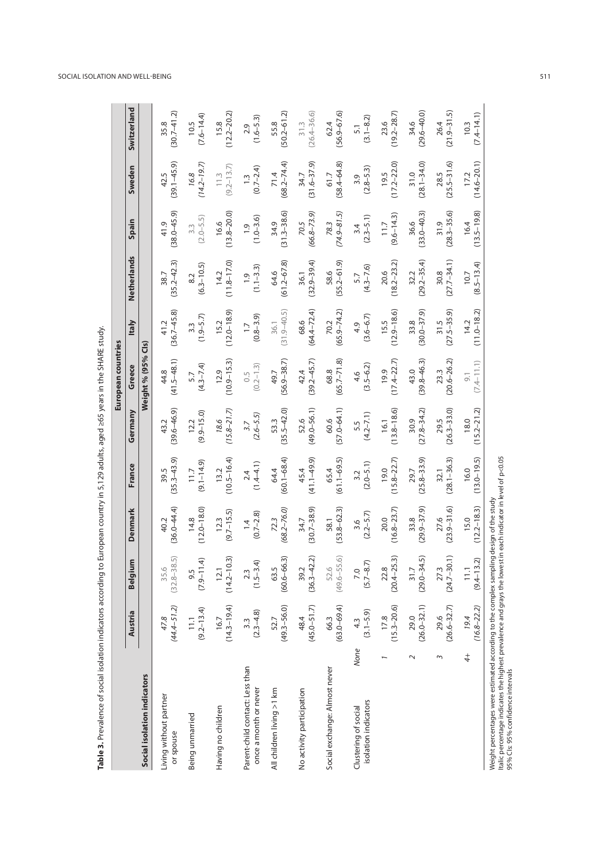| Social isolation indicators<br>Living without partner<br>Having no children<br>Being unmarried<br>or spouse | Austria                           |                           |                         |                         |                         | European countries      |                                   |                         |                         |                         |                         |
|-------------------------------------------------------------------------------------------------------------|-----------------------------------|---------------------------|-------------------------|-------------------------|-------------------------|-------------------------|-----------------------------------|-------------------------|-------------------------|-------------------------|-------------------------|
|                                                                                                             |                                   | Belgium                   | Denmark                 | France                  | Germany                 | Greece                  | <b>Italy</b>                      | Netherlands             | Spain                   | Sweden                  | Switzerland             |
|                                                                                                             |                                   |                           |                         |                         |                         | Weight % (95% Cls)      |                                   |                         |                         |                         |                         |
|                                                                                                             | $(44.4 - 51.2)$                   | $(32.8 - 38.5)$           | $(36.0 - 44.4)$         | $(35.3 - 43.9)$         | $(39.6 - 46.9)$         | $(41.5 - 48.1)$         | $(36.7 - 45.8)$                   | $(35.2 - 42.3)$         | $(38.0 - 45.9)$         | $(39.1 - 45.9)$         | $(30.7 - 41.2)$         |
|                                                                                                             | 47.8                              | 35.6                      | 40.2                    | 39.5                    | 43.2                    | 44.8                    | 41.2                              | 38.7                    | 41.9                    | 42.5                    | 35.8                    |
|                                                                                                             | $(9.2 - 13.4)$<br>$\overline{11}$ | E,<br>9.5<br>$(7.9 - 11)$ | $(12.0 - 18.0)$<br>14.8 | $(9.1 - 14.9)$<br>11.7  | $(9.9 - 15.0)$<br>12.2  | $(4.3 - 7.4)$<br>5.7    | $(1.9 - 5.7)$<br>$3.\overline{3}$ | $(6.3 - 10.5)$<br>8.2   | $(2.0 - 5.5)$<br>3.3    | $(14.2 - 19.7)$<br>16.8 | $(7.6 - 14.4)$<br>10.5  |
|                                                                                                             | $(14.3 - 19.4)$                   | $(14.2 - 10.3)$           | $(9.7 - 15.5)$          | $(10.5 - 16.4)$         | $(15.8 - 21.7)$         | $(10.9 - 15.3)$         | $(12.0 - 18.9)$                   | $(11.8 - 17.0)$         | $(13.8 - 20.0)$         | $(9.2 - 13.7)$          | $(12.2 - 20.2)$         |
|                                                                                                             | 16.7                              | 12.1                      | 12.3                    | 13.2                    | 18.6                    | 12.9                    | 15.2                              | 14.2                    | 16.6                    | 11.3                    | 15.8                    |
| Parent-child contact: Less than                                                                             | $(2.3 - 4.8)$                     | E,                        | $(0.7 - 2.8)$           | $(1.4 - 4.1)$           | $(2.6 - 5.5)$           | $(0.2 - 1.3)$           | $(0.8 - 3.9)$                     | $(1.1 - 3.3)$           | $(1.0 - 3.6)$           | $(0.7 - 2.4)$           | $(1.6 - 5.3)$           |
| once a month or never                                                                                       | 3.3                               | $2.3$<br>(1.5-3.          | $\overline{4}$          | 2.4                     | 3.7                     | 0.5                     | $\overline{1}$ .                  | $\frac{1}{2}$           | $\frac{1}{2}$           | $\frac{1}{2}$           | 2.9                     |
| All children living >1 km                                                                                   | $(49.3 - 56.0)$                   | $(60.6 - 66.3)$           | $(68.2 - 76.0)$         | $(60.1 - 68.4)$         | $(35.5 - 42.0)$         | $(56.9 - 38.7)$         | $(31.9 - 40.5)$                   | $(61.2 - 67.8)$         | $(31.3 - 38.6)$         | $(68.2 - 74.4)$         | $(50.2 - 61.2)$         |
|                                                                                                             | 52.7                              | 63.5                      | 72.3                    | 64.4                    | 53.3                    | 49.7                    | 36.1                              | 64.6                    | 34.9                    | 71.4                    | 55.8                    |
| No activity participation                                                                                   | $(45.0 - 51.7)$                   | $(36.3 - 42.2)$           | $(30.7 - 38.9)$         | $(41.1 - 49.9)$         | $(49.0 - 56.1)$         | $(39.2 - 45.7)$         | $(64.4 - 72.4)$                   | $(32.9 - 39.4)$         | $(66.8 - 73.9)$         | $(31.6 - 37.9)$         | $(26.4 - 36.6)$         |
|                                                                                                             | 48.4                              | 39.2                      | 34.7                    | 45.4                    | 52.6                    | 42.4                    | 68.6                              | 36.1                    | 70.5                    | 34.7                    | $\frac{31.3}{ }$        |
| Social exchange: Almost never                                                                               | $(63.0 - 69.4)$                   | $(49.6 - 55.6)$           | $(53.8 - 62.3)$         | $(61.1 - 69.5)$         | $(57.0 - 64.1)$         | $(65.7 - 71.8)$         | $(65.9 - 74.2)$                   | $(55.2 - 61.9)$         | $(74.9 - 81.5)$         | $(58.4 - 64.8)$         | $(56.9 - 67.6)$         |
|                                                                                                             | 66.3                              | 52.6                      | 58.1                    | 65.4                    | 60.6                    | 68.8                    | 70.2                              | 58.6                    | 78.3                    | 61.7                    | 62.4                    |
| None<br>isolation indicators<br>Clustering of social                                                        | $(3.1 - 5.9)$<br>4.3              | $(5.7 - 8.7)$<br>7.0      | $(2.2 - 5.7)$<br>3.6    | $(2.0 - 5.1)$<br>3.2    | $(4.2 - 7.1)$<br>5.5    | $(3.5 - 6.2)$<br>4.6    | $(3.6 - 6.7)$<br>4.9              | $(4.3 - 7.6)$<br>5.7    | $(2.3 - 5.1)$<br>3.4    | $(2.8 - 5.3)$<br>3.9    | $(3.1 - 8.2)$<br>5.1    |
|                                                                                                             | $(15.3 - 20.6)$                   | $(20.4 - 25.3)$           | $(16.8 - 23.7)$         | $(15.8 - 22.7)$         | $(13.8 - 18.6)$         | $(17.4 - 22.7)$         | $(12.9 - 18.6)$                   | $(18.2 - 23.2)$         | $(9.6 - 14.3)$          | $(17.2 - 22.0)$         | $(19.2 - 28.7)$         |
|                                                                                                             | 17.8                              | 22.8                      | 20.0                    | 19.0                    | 16.1                    | 19.9                    | 15.5                              | 20.6                    | 11.7                    | 19.5                    | 23.6                    |
| $\sim$                                                                                                      | $(26.0 - 32.1)$                   | $(29.0 - 34.5)$           | $(29.9 - 37.9)$         | $(25.8 - 33.9)$         | $(27.8 - 34.2)$         | $(39.8 - 46.3)$         | $(30.0 - 37.9)$                   | $(29.2 - 35.4)$         | $(33.0 - 40.3)$         | $(28.1 - 34.0)$         | $(29.6 - 40.0)$         |
|                                                                                                             | 29.0                              | 31.7                      | 33.8                    | 29.7                    | 30.9                    | 43.0                    | 33.8                              | 32.2                    | 36.6                    | 31.0                    | 34.6                    |
| Σ                                                                                                           | $(26.6 - 32.7)$<br>29.6           | $27.3$<br>(24.7–30.1)     | $(23.9 - 31.6)$<br>27.6 | $(28.1 - 36.3)$<br>32.1 | $(26.3 - 33.0)$<br>29.5 | $(20.6 - 26.2)$<br>23.3 | $(27.5 - 35.9)$<br>31.5           | $(27.7 - 34.1)$<br>30.8 | $(28.3 - 35.6)$<br>31.9 | $(25.5 - 31.6)$<br>28.5 | $(21.9 - 31.5)$<br>26.4 |
| $^{+}$                                                                                                      | $(16.8 - 22.2)$                   | $(9.4 - 13.2)$            | $(12.2 - 18.3)$         | $(13.0 - 19.5)$         | $(15.2 - 21.2)$         | $(7.4 - 11.1)$          | $(11.0 - 18.2)$                   | $(8.5 - 13.4)$          | $(13.5 - 19.8)$         | $(14.6 - 20.1)$         | $(7.4 - 14.1)$          |
|                                                                                                             | 19.4                              | $\Xi$                     | 15.0                    | 16.0                    | 18.0                    | 9.1                     | 14.2                              | 10.7                    | 16.4                    | 17.2                    | 10.3                    |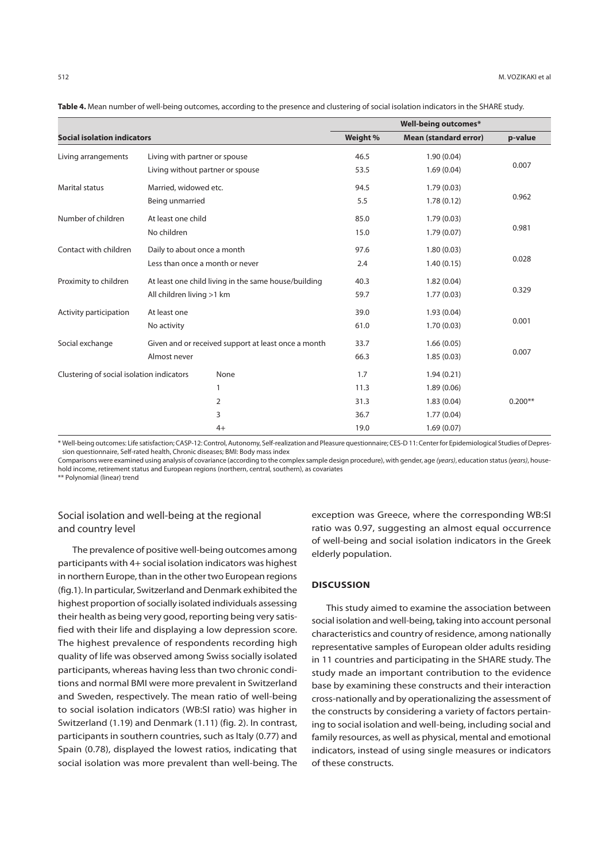|                                           | <b>Well-being outcomes*</b>                          |          |                              |           |  |
|-------------------------------------------|------------------------------------------------------|----------|------------------------------|-----------|--|
| <b>Social isolation indicators</b>        |                                                      | Weight % | <b>Mean (standard error)</b> | p-value   |  |
| Living arrangements                       | Living with partner or spouse                        | 46.5     | 1.90(0.04)                   |           |  |
|                                           | Living without partner or spouse                     | 53.5     | 1.69(0.04)                   | 0.007     |  |
| <b>Marital status</b>                     | Married, widowed etc.                                | 94.5     | 1.79(0.03)                   |           |  |
|                                           | Being unmarried                                      | 5.5      | 1.78(0.12)                   | 0.962     |  |
| Number of children                        | At least one child                                   | 85.0     | 1.79(0.03)                   |           |  |
|                                           | No children                                          | 15.0     | 1.79(0.07)                   | 0.981     |  |
| Contact with children                     | Daily to about once a month                          | 97.6     | 1.80(0.03)                   |           |  |
|                                           | Less than once a month or never                      | 2.4      | 1.40(0.15)                   | 0.028     |  |
| Proximity to children                     | At least one child living in the same house/building | 40.3     | 1.82(0.04)                   |           |  |
|                                           | All children living >1 km                            | 59.7     | 1.77(0.03)                   | 0.329     |  |
| Activity participation                    | At least one                                         | 39.0     | 1.93(0.04)                   |           |  |
|                                           | No activity                                          | 61.0     | 1.70(0.03)                   | 0.001     |  |
| Social exchange                           | Given and or received support at least once a month  | 33.7     | 1.66(0.05)                   |           |  |
|                                           | Almost never                                         | 66.3     | 1.85(0.03)                   | 0.007     |  |
| Clustering of social isolation indicators | None                                                 | 1.7      | 1.94(0.21)                   |           |  |
|                                           | 1                                                    | 11.3     | 1.89(0.06)                   |           |  |
|                                           | 2                                                    | 31.3     | 1.83(0.04)                   | $0.200**$ |  |
|                                           | 3                                                    | 36.7     | 1.77(0.04)                   |           |  |
|                                           | $4+$                                                 | 19.0     | 1.69(0.07)                   |           |  |

**Table 4.** Mean number of well-being outcomes, according to the presence and clustering of social isolation indicators in the SHARE study.

\* Well-being outcomes: Life satisfaction; CASP-12: Control, Autonomy, Self-realization and Pleasure questionnaire; CES-D 11: Center for Epidemiological Studies of Depression questionnaire, Self-rated health, Chronic diseases; BMI: Body mass index

Comparisons were examined using analysis of covariance (according to the complex sample design procedure), with gender, age (years), education status (years), household income, retirement status and European regions (northern, central, southern), as covariates

\*\* Polynomial (linear) trend

# Social isolation and well-being at the regional and country level

The prevalence of positive well-being outcomes among participants with 4+ social isolation indicators was highest in northern Europe, than in the other two European regions (fig.1). In particular, Switzerland and Denmark exhibited the highest proportion of socially isolated individuals assessing their health as being very good, reporting being very satisfied with their life and displaying a low depression score. The highest prevalence of respondents recording high quality of life was observed among Swiss socially isolated participants, whereas having less than two chronic conditions and normal BMI were more prevalent in Switzerland and Sweden, respectively. The mean ratio of well-being to social isolation indicators (WB:SI ratio) was higher in Switzerland (1.19) and Denmark (1.11) (fig. 2). In contrast, participants in southern countries, such as Italy (0.77) and Spain (0.78), displayed the lowest ratios, indicating that social isolation was more prevalent than well-being. The

exception was Greece, where the corresponding WB:SI ratio was 0.97, suggesting an almost equal occurrence of well-being and social isolation indicators in the Greek elderly population.

# **DISCUSSION**

This study aimed to examine the association between social isolation and well-being, taking into account personal characteristics and country of residence, among nationally representative samples of European older adults residing in 11 countries and participating in the SHARE study. The study made an important contribution to the evidence base by examining these constructs and their interaction cross-nationally and by operationalizing the assessment of the constructs by considering a variety of factors pertaining to social isolation and well-being, including social and family resources, as well as physical, mental and emotional indicators, instead of using single measures or indicators of these constructs.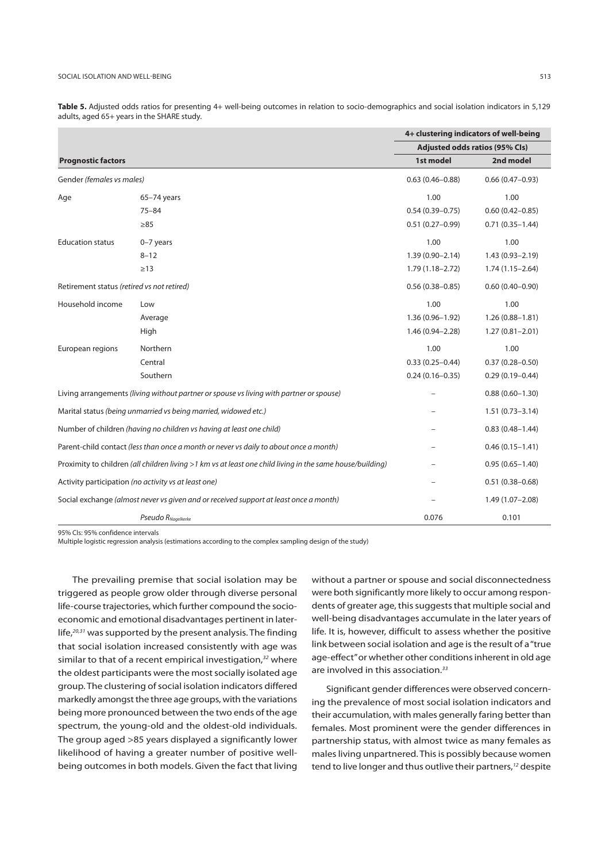|                                            |                                                                                                           |                     | 4+ clustering indicators of well-being |
|--------------------------------------------|-----------------------------------------------------------------------------------------------------------|---------------------|----------------------------------------|
|                                            |                                                                                                           |                     | Adjusted odds ratios (95% Cls)         |
| <b>Prognostic factors</b>                  |                                                                                                           | 1st model           | 2nd model                              |
| Gender (females vs males)                  |                                                                                                           | $0.63(0.46 - 0.88)$ | $0.66(0.47-0.93)$                      |
| Age                                        | $65-74$ years                                                                                             | 1.00                | 1.00                                   |
|                                            | $75 - 84$                                                                                                 | $0.54(0.39 - 0.75)$ | $0.60(0.42 - 0.85)$                    |
|                                            | $\geq 85$                                                                                                 | $0.51(0.27 - 0.99)$ | $0.71(0.35 - 1.44)$                    |
| <b>Education status</b>                    | $0-7$ years                                                                                               | 1.00                | 1.00                                   |
|                                            | $8 - 12$                                                                                                  | $1.39(0.90 - 2.14)$ | $1.43(0.93 - 2.19)$                    |
|                                            | $\geq$ 13                                                                                                 | $1.79(1.18 - 2.72)$ | $1.74(1.15 - 2.64)$                    |
| Retirement status (retired vs not retired) |                                                                                                           | $0.56(0.38 - 0.85)$ | $0.60(0.40 - 0.90)$                    |
| Household income                           | Low                                                                                                       | 1.00                | 1.00                                   |
|                                            | Average                                                                                                   | $1.36(0.96 - 1.92)$ | $1.26(0.88 - 1.81)$                    |
|                                            | High                                                                                                      | $1.46(0.94 - 2.28)$ | $1.27(0.81 - 2.01)$                    |
| European regions                           | Northern                                                                                                  | 1.00                | 1.00                                   |
|                                            | Central                                                                                                   | $0.33(0.25 - 0.44)$ | $0.37(0.28 - 0.50)$                    |
|                                            | Southern                                                                                                  | $0.24(0.16 - 0.35)$ | $0.29(0.19 - 0.44)$                    |
|                                            | Living arrangements (living without partner or spouse vs living with partner or spouse)                   |                     | $0.88(0.60 - 1.30)$                    |
|                                            | Marital status (being unmarried vs being married, widowed etc.)                                           |                     | $1.51(0.73 - 3.14)$                    |
|                                            | Number of children (having no children vs having at least one child)                                      |                     | $0.83(0.48 - 1.44)$                    |
|                                            | Parent-child contact (less than once a month or never vs daily to about once a month)                     |                     | $0.46(0.15 - 1.41)$                    |
|                                            | Proximity to children (all children living >1 km vs at least one child living in the same house/building) |                     | $0.95(0.65 - 1.40)$                    |
|                                            | Activity participation (no activity vs at least one)                                                      |                     | $0.51(0.38 - 0.68)$                    |
|                                            | Social exchange (almost never vs given and or received support at least once a month)                     |                     | $1.49(1.07 - 2.08)$                    |
|                                            | Pseudo RNagelkerke                                                                                        | 0.076               | 0.101                                  |

**Τable 5.** Adjusted odds ratios for presenting 4+ well-being outcomes in relation to socio-demographics and social isolation indicators in 5,129 adults, aged 65+ years in the SHARE study.

95% CIs: 95% confidence intervals

Multiple logistic regression analysis (estimations according to the complex sampling design of the study)

The prevailing premise that social isolation may be triggered as people grow older through diverse personal life-course trajectories, which further compound the socioeconomic and emotional disadvantages pertinent in laterlife, $20,31$  was supported by the present analysis. The finding that social isolation increased consistently with age was similar to that of a recent empirical investigation, $32$  where the oldest participants were the most socially isolated age group. The clustering of social isolation indicators differed markedly amongst the three age groups, with the variations being more pronounced between the two ends of the age spectrum, the young-old and the oldest-old individuals. The group aged >85 years displayed a significantly lower likelihood of having a greater number of positive wellbeing outcomes in both models. Given the fact that living

without a partner or spouse and social disconnectedness were both significantly more likely to occur among respondents of greater age, this suggests that multiple social and well-being disadvantages accumulate in the later years of life. It is, however, difficult to assess whether the positive link between social isolation and age is the result of a "true age-effect" or whether other conditions inherent in old age are involved in this association.<sup>33</sup>

Significant gender differences were observed concerning the prevalence of most social isolation indicators and their accumulation, with males generally faring better than females. Most prominent were the gender differences in partnership status, with almost twice as many females as males living unpartnered. This is possibly because women tend to live longer and thus outlive their partners,<sup>12</sup> despite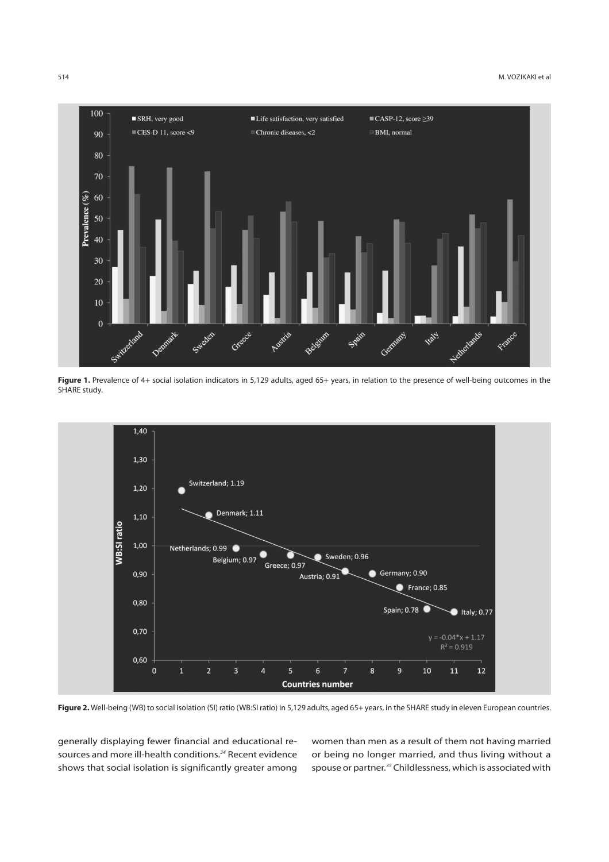

Figure 1. Prevalence of 4+ social isolation indicators in 5,129 adults, aged 65+ years, in relation to the presence of well-being outcomes in the SHARE study.



Figure 2. Well-being (WB) to social isolation (SI) ratio (WB:SI ratio) in 5,129 adults, aged 65+ years, in the SHARE study in eleven European countries.

generally displaying fewer financial and educational resources and more ill-health conditions.<sup>34</sup> Recent evidence shows that social isolation is significantly greater among women than men as a result of them not having married or being no longer married, and thus living without a spouse or partner.35 Childlessness, which is associated with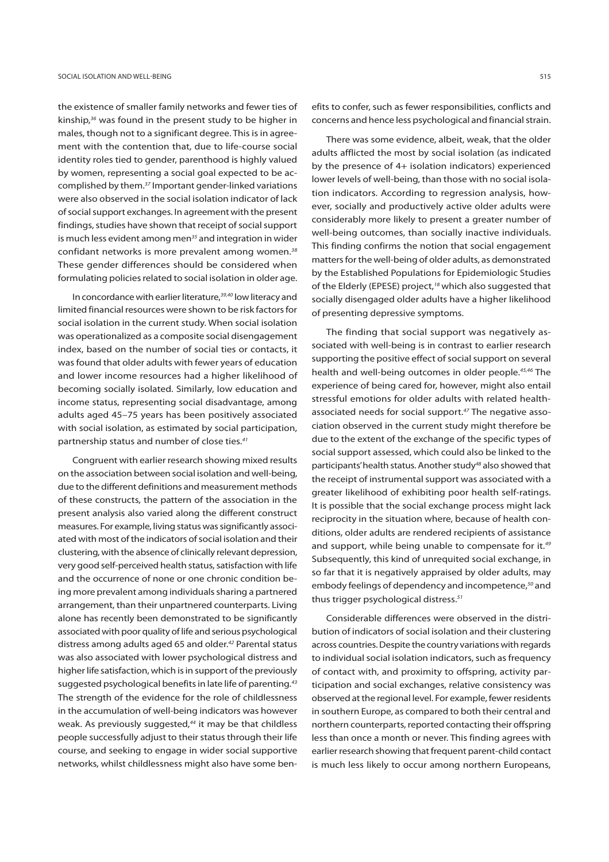the existence of smaller family networks and fewer ties of kinship,<sup>36</sup> was found in the present study to be higher in males, though not to a significant degree. This is in agreement with the contention that, due to life-course social identity roles tied to gender, parenthood is highly valued by women, representing a social goal expected to be accomplished by them.37 Important gender-linked variations were also observed in the social isolation indicator of lack of social support exchanges. In agreement with the present findings, studies have shown that receipt of social support is much less evident among men $35$  and integration in wider confidant networks is more prevalent among women.<sup>38</sup> These gender differences should be considered when formulating policies related to social isolation in older age.

In concordance with earlier literature,<sup>39,40</sup> low literacy and limited financial resources were shown to be risk factors for social isolation in the current study. When social isolation was operationalized as a composite social disengagement index, based on the number of social ties or contacts, it was found that older adults with fewer years of education and lower income resources had a higher likelihood of becoming socially isolated. Similarly, low education and income status, representing social disadvantage, among adults aged 45–75 years has been positively associated with social isolation, as estimated by social participation, partnership status and number of close ties.<sup>41</sup>

Congruent with earlier research showing mixed results on the association between social isolation and well-being, due to the different definitions and measurement methods of these constructs, the pattern of the association in the present analysis also varied along the different construct measures. For example, living status was significantly associated with most of the indicators of social isolation and their clustering, with the absence of clinically relevant depression, very good self-perceived health status, satisfaction with life and the occurrence of none or one chronic condition being more prevalent among individuals sharing a partnered arrangement, than their unpartnered counterparts. Living alone has recently been demonstrated to be significantly associated with poor quality of life and serious psychological distress among adults aged 65 and older.<sup>42</sup> Parental status was also associated with lower psychological distress and higher life satisfaction, which is in support of the previously suggested psychological benefits in late life of parenting.<sup>43</sup> The strength of the evidence for the role of childlessness in the accumulation of well-being indicators was however weak. As previously suggested. $44$  it may be that childless people successfully adjust to their status through their life course, and seeking to engage in wider social supportive networks, whilst childlessness might also have some ben-

efits to confer, such as fewer responsibilities, conflicts and concerns and hence less psychological and financial strain.

There was some evidence, albeit, weak, that the older adults afflicted the most by social isolation (as indicated by the presence of 4+ isolation indicators) experienced lower levels of well-being, than those with no social isolation indicators. According to regression analysis, however, socially and productively active older adults were considerably more likely to present a greater number of well-being outcomes, than socially inactive individuals. This finding confirms the notion that social engagement matters for the well-being of older adults, as demonstrated by the Established Populations for Epidemiologic Studies of the Elderly (EPESE) project,<sup>18</sup> which also suggested that socially disengaged older adults have a higher likelihood of presenting depressive symptoms.

The finding that social support was negatively associated with well-being is in contrast to earlier research supporting the positive effect of social support on several health and well-being outcomes in older people.<sup>45,46</sup> The experience of being cared for, however, might also entail stressful emotions for older adults with related healthassociated needs for social support.47 The negative association observed in the current study might therefore be due to the extent of the exchange of the specific types of social support assessed, which could also be linked to the participants' health status. Another study<sup>48</sup> also showed that the receipt of instrumental support was associated with a greater likelihood of exhibiting poor health self-ratings. It is possible that the social exchange process might lack reciprocity in the situation where, because of health conditions, older adults are rendered recipients of assistance and support, while being unable to compensate for it.<sup>49</sup> Subsequently, this kind of unrequited social exchange, in so far that it is negatively appraised by older adults, may embody feelings of dependency and incompetence,<sup>50</sup> and thus trigger psychological distress.<sup>51</sup>

Considerable differences were observed in the distribution of indicators of social isolation and their clustering across countries. Despite the country variations with regards to individual social isolation indicators, such as frequency of contact with, and proximity to offspring, activity participation and social exchanges, relative consistency was observed at the regional level. For example, fewer residents in southern Europe, as compared to both their central and northern counterparts, reported contacting their offspring less than once a month or never. This finding agrees with earlier research showing that frequent parent-child contact is much less likely to occur among northern Europeans,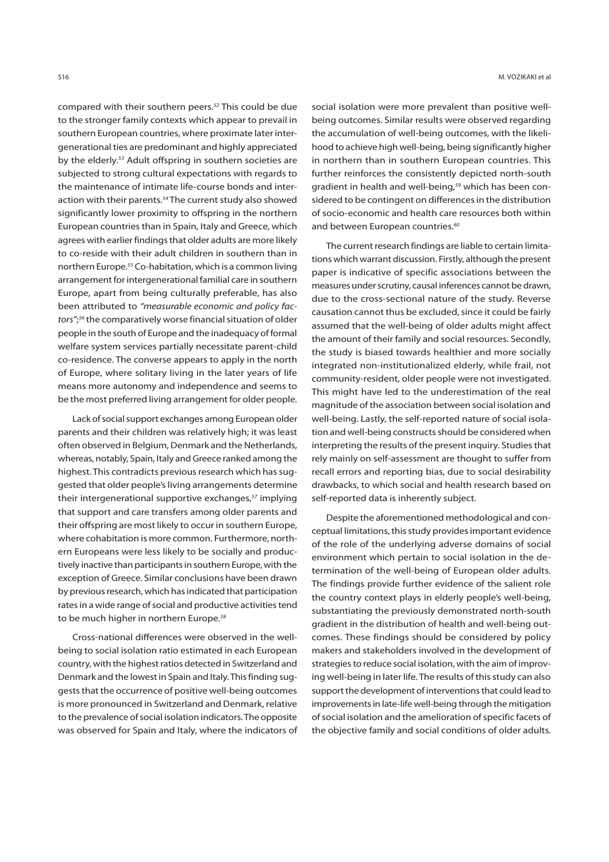compared with their southern peers.<sup>52</sup> This could be due to the stronger family contexts which appear to prevail in southern European countries, where proximate later intergenerational ties are predominant and highly appreciated by the elderly.<sup>53</sup> Adult offspring in southern societies are subjected to strong cultural expectations with regards to the maintenance of intimate life-course bonds and interaction with their parents.<sup>54</sup> The current study also showed significantly lower proximity to offspring in the northern European countries than in Spain, Italy and Greece, which agrees with earlier findings that older adults are more likely to co-reside with their adult children in southern than in northern Europe.55 Co-habitation, which is a common living arrangement for intergenerational familial care in southern Europe, apart from being culturally preferable, has also been attributed to "measurable economic and policy factors";<sup>56</sup> the comparatively worse financial situation of older people in the south of Europe and the inadequacy of formal welfare system services partially necessitate parent-child co-residence. The converse appears to apply in the north of Europe, where solitary living in the later years of life means more autonomy and independence and seems to be the most preferred living arrangement for older people.

Lack of social support exchanges among European older parents and their children was relatively high; it was least often observed in Belgium, Denmark and the Netherlands, whereas, notably, Spain, Italy and Greece ranked among the highest. This contradicts previous research which has suggested that older people's living arrangements determine their intergenerational supportive exchanges,<sup>57</sup> implying that support and care transfers among older parents and their offspring are most likely to occur in southern Europe, where cohabitation is more common. Furthermore, northern Europeans were less likely to be socially and productively inactive than participants in southern Europe, with the exception of Greece. Similar conclusions have been drawn by previous research, which has indicated that participation rates in a wide range of social and productive activities tend to be much higher in northern Europe.<sup>58</sup>

Cross-national differences were observed in the wellbeing to social isolation ratio estimated in each European country, with the highest ratios detected in Switzerland and Denmark and the lowest in Spain and Italy. This finding suggests that the occurrence of positive well-being outcomes is more pronounced in Switzerland and Denmark, relative to the prevalence of social isolation indicators. The opposite was observed for Spain and Italy, where the indicators of

516 M. VOZIKAKI et al

social isolation were more prevalent than positive wellbeing outcomes. Similar results were observed regarding the accumulation of well-being outcomes, with the likelihood to achieve high well-being, being significantly higher in northern than in southern European countries. This further reinforces the consistently depicted north-south gradient in health and well-being,59 which has been considered to be contingent on differences in the distribution of socio-economic and health care resources both within and between European countries.<sup>60</sup>

The current research findings are liable to certain limitations which warrant discussion. Firstly, although the present paper is indicative of specific associations between the measures under scrutiny, causal inferences cannot be drawn, due to the cross-sectional nature of the study. Reverse causation cannot thus be excluded, since it could be fairly assumed that the well-being of older adults might affect the amount of their family and social resources. Secondly, the study is biased towards healthier and more socially integrated non-institutionalized elderly, while frail, not community-resident, older people were not investigated. This might have led to the underestimation of the real magnitude of the association between social isolation and well-being. Lastly, the self-reported nature of social isolation and well-being constructs should be considered when interpreting the results of the present inquiry. Studies that rely mainly on self-assessment are thought to suffer from recall errors and reporting bias, due to social desirability drawbacks, to which social and health research based on self-reported data is inherently subject.

Despite the aforementioned methodological and conceptual limitations, this study provides important evidence of the role of the underlying adverse domains of social environment which pertain to social isolation in the determination of the well-being of European older adults. The findings provide further evidence of the salient role the country context plays in elderly people's well-being, substantiating the previously demonstrated north-south gradient in the distribution of health and well-being outcomes. These findings should be considered by policy makers and stakeholders involved in the development of strategies to reduce social isolation, with the aim of improving well-being in later life. The results of this study can also support the development of interventions that could lead to improvements in late-life well-being through the mitigation of social isolation and the amelioration of specific facets of the objective family and social conditions of older adults.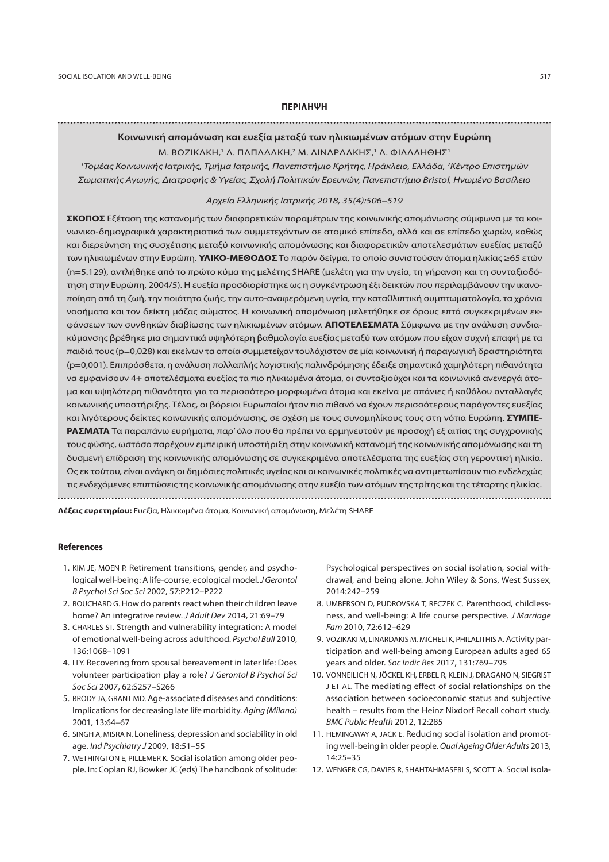# **ΠΕΡΙΛΗΨΗ**

# **Κοινωνική απομόνωση και ευεξία μεταξύ των ηλικιωμένων ατόμων στην Ευρώπη**

# Μ. ΒΟΖΙΚΑΚΗ,1 Α. ΠΑΠΑΔΑΚΗ,2 Μ. ΛΙΝΑΡΔΑΚΗΣ,1 Α. ΦΙΛΑΛΗΘΗΣ1

<sup>1</sup>Τομέας Κοινωνικής Ιατρικής, Τμήμα Ιατρικής, Πανεπιστήμιο Κρήτης, Ηράκλειο, Ελλάδα, <sup>2</sup>Κέντρο Επιστημών Σωματικής Αγωγής, Διατροφής & Υγείας, Σχολή Πολιτικών Ερευνών, Πανεπιστήμιο Bristol, Ηνωμένο Βασίλειο

#### Αρχεία Ελληνικής Ιατρικής 2018, 35(4):506–519

**ΣΚΟΠΟΣ** Εξέταση της κατανομής των διαφορετικών παραμέτρων της κοινωνικής απομόνωσης σύμφωνα με τα κοινωνικο-δημογραφικά χαρακτηριστικά των συμμετεχόντων σε ατομικό επίπεδο, αλλά και σε επίπεδο χωρών, καθώς και διερεύνηση της συσχέτισης μεταξύ κοινωνικής απομόνωσης και διαφορετικών αποτελεσμάτων ευεξίας μεταξύ των ηλικιωμένων στην Ευρώπη. **ΥΛΙΚΟ-ΜΕΘΟΔΟΣ** Το παρόν δείγμα, το οποίο συνιστούσαν άτομα ηλικίας ≥65 ετών (n=5.129), αντλήθηκε από το πρώτο κύμα της μελέτης SHARE (μελέτη για την υγεία, τη γήρανση και τη συνταξιοδότηση στην Ευρώπη, 2004/5). Η ευεξία προσδιορίστηκε ως η συγκέντρωση έξι δεικτών που περιλαμβάνουν την ικανοποίηση από τη ζωή, την ποιότητα ζωής, την αυτο-αναφερόμενη υγεία, την καταθλιπτική συμπτωματολογία, τα χρόνια νοσήματα και τον δείκτη μάζας σώματος. Η κοινωνική απομόνωση μελετήθηκε σε όρους επτά συγκεκριμένων εκφάνσεων των συνθηκών διαβίωσης των ηλικιωμένων ατόμων. **ΑΠΟΤΕΛΕΣΜΑΤΑ** Σύμφωνα με την ανάλυση συνδιακύμανσης βρέθηκε μια σημαντικά υψηλότερη βαθμολογία ευεξίας μεταξύ των ατόμων που είχαν συχνή επαφή με τα παιδιά τους (p=0,028) και εκείνων τα οποία συμμετείχαν τουλάχιστον σε μία κοινωνική ή παραγωγική δραστηριότητα (p=0,001). Επιπρόσθετα, η ανάλυση πολλαπλής λογιστικής παλινδρόμησης έδειξε σημαντικά χαμηλότερη πιθανότητα να εμφανίσουν 4+ αποτελέσματα ευεξίας τα πιο ηλικιωμένα άτομα, οι συνταξιούχοι και τα κοινωνικά ανενεργά άτομα και υψηλότερη πιθανότητα για τα περισσότερο μορφωμένα άτομα και εκείνα με σπάνιες ή καθόλου ανταλλαγές κοινωνικής υποστήριξης. Τέλος, οι βόρειοι Ευρωπαίοι ήταν πιο πιθανό να έχουν περισσότερους παράγοντες ευεξίας και λιγότερους δείκτες κοινωνικής απομόνωσης, σε σχέση με τους συνομηλίκους τους στη νότια Ευρώπη. **ΣΥΜΠΕ-ΡΑΣΜΑΤΑ** Τα παραπάνω ευρήματα, παρ' όλο που θα πρέπει να ερμηνευτούν με προσοχή εξ αιτίας της συγχρονικής τους φύσης, ωστόσο παρέχουν εμπειρική υποστήριξη στην κοινωνική κατανομή της κοινωνικής απομόνωσης και τη δυσμενή επίδραση της κοινωνικής απομόνωσης σε συγκεκριμένα αποτελέσματα της ευεξίας στη γεροντική ηλικία. Ως εκ τούτου, είναι ανάγκη οι δημόσιες πολιτικές υγείας και οι κοινωνικές πολιτικές να αντιμετωπίσουν πιο ενδελεχώς τις ενδεχόμενες επιπτώσεις της κοινωνικής απομόνωσης στην ευεξία των ατόμων της τρίτης και της τέταρτης ηλικίας. 

**Λέξεις ευρετηρίου:** Ευεξία, Ηλικιωμένα άτομα, Κοινωνική απομόνωση, Μελέτη SHARE

#### **References**

- 1. KΙΜ JE, MΟΕΝ P. Retirement transitions, gender, and psychological well-being: A life-course, ecological model. J Gerontol B Psychol Sci Soc Sci 2002, 57:P212–P222
- 2. BOUCHARD G. How do parents react when their children leave home? An integrative review. J Adult Dev 2014, 21:69–79
- 3. CHARLES ST. Strength and vulnerability integration: A model of emotional well-being across adulthood. Psychol Bull 2010, 136:1068–1091
- 4. LI Y. Recovering from spousal bereavement in later life: Does volunteer participation play a role? J Gerontol B Psychol Sci Soc Sci 2007, 62:S257–S266
- 5. BRODY JA, GRANT MD. Age-associated diseases and conditions: Implications for decreasing late life morbidity. Aging (Milano) 2001, 13:64–67
- 6. SINGH A, MISRA N. Loneliness, depression and sociability in old age. Ind Psychiatry J 2009, 18:51–55
- 7. WETHINGTON E, PILLEMER K. Social isolation among older people. In: Coplan RJ, Bowker JC (eds) The handbook of solitude:

Psychological perspectives on social isolation, social withdrawal, and being alone. John Wiley & Sons, West Sussex, 2014:242–259

- 8. UMBERSON D, PUDROVSKA T, RECZEK C. Parenthood, childlessness, and well-being: A life course perspective. J Marriage Fam 2010, 72:612–629
- 9. VOZIKAKI M, LINARDAKIS M, MICHELI K, PHILALITHIS A. Activity participation and well-being among European adults aged 65 years and older. Soc Indic Res 2017, 131:769–795
- 10. VONNEILICH N, JÖCKEL KH, ERBEL R, KLEIN J, DRAGANO N, SIEGRIST J ET AL. The mediating effect of social relationships on the association between socioeconomic status and subjective health – results from the Heinz Nixdorf Recall cohort study. BMC Public Health 2012, 12:285
- 11. HEMINGWAY A, JACK E. Reducing social isolation and promoting well-being in older people. Qual Ageing Older Adults 2013, 14:25–35
- 12. WENGER CG, DAVIES R, SHAHTAHMASEBI S, SCOTT A. Social isola-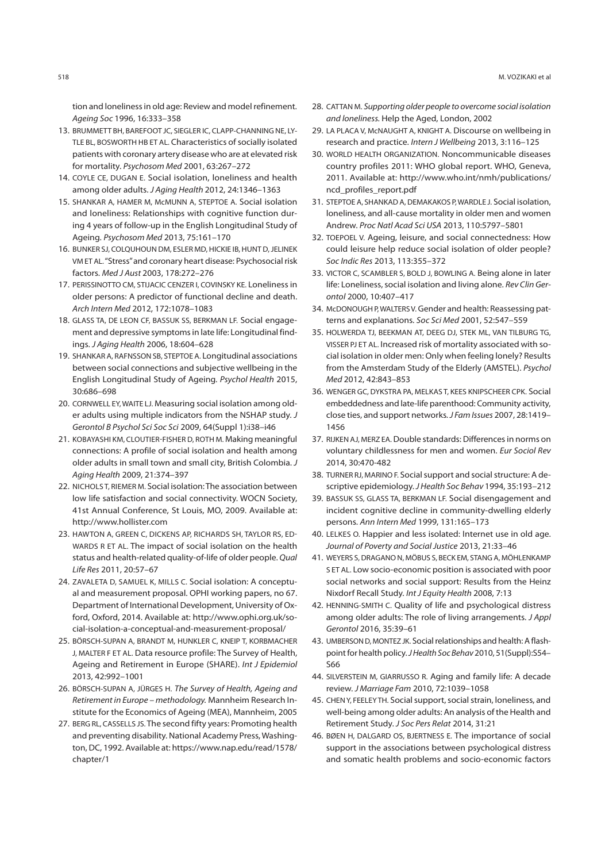tion and loneliness in old age: Review and model refinement. Ageing Soc 1996, 16:333–358

- 13. BRUMMETT BH, BAREFOOT JC, SIEGLER IC, CLAPP-CHANNING NE, LY-TLE BL, BOSWORTH HB ET AL. Characteristics of socially isolated patients with coronary artery disease who are at elevated risk for mortality. Psychosom Med 2001, 63:267–272
- 14. COYLE CE, DUGAN E. Social isolation, loneliness and health among older adults. J Aging Health 2012, 24:1346–1363
- 15. SHANKAR A, HAMER M, McMUNN A, STEPTOE A. Social isolation and loneliness: Relationships with cognitive function during 4 years of follow-up in the English Longitudinal Study of Ageing. Psychosom Med 2013, 75:161–170
- 16. BUNKER SJ, COLQUHOUN DM, ESLER MD, HICKIE IB, HUNT D, JELINEK VM ET AL. "Stress" and coronary heart disease: Psychosocial risk factors. Med J Aust 2003, 178:272–276
- 17. PERISSINOTTO CM, STIJACIC CENZER I, COVINSKY KE. Loneliness in older persons: A predictor of functional decline and death. Arch Intern Med 2012, 172:1078–1083
- 18. GLASS TA, DE LEON CF, BASSUK SS, BERKMAN LF. Social engagement and depressive symptoms in late life: Longitudinal findings. J Aging Health 2006, 18:604–628
- 19. SHANKAR A, RAFNSSON SB, STEPTOE A. Longitudinal associations between social connections and subjective wellbeing in the English Longitudinal Study of Ageing. Psychol Health 2015, 30:686–698
- 20. CORNWELL EY, WAITE LJ. Measuring social isolation among older adults using multiple indicators from the NSHAP study. J Gerontol B Psychol Sci Soc Sci 2009, 64(Suppl 1):i38–i46
- 21. KOBAYASHI KM, CLOUTIER-FISHER D, ROTH M. Making meaningful connections: A profile of social isolation and health among older adults in small town and small city, British Colombia. J Aging Health 2009, 21:374–397
- 22. NICHOLS T, RIEMER M. Social isolation: The association between low life satisfaction and social connectivity. WOCN Society, 41st Annual Conference, St Louis, MO, 2009. Available at: http://www.hollister.com
- 23. HAWTON A, GREEN C, DICKENS AP, RICHARDS SH, TAYLOR RS, ED-WARDS R ET AL. The impact of social isolation on the health status and health-related quality-of-life of older people. Qual Life Res 2011, 20:57–67
- 24. ZAVALETA D, SAMUEL K, MILLS C. Social isolation: A conceptual and measurement proposal. OPHI working papers, no 67. Department of International Development, University of Oxford, Oxford, 2014. Available at: http://www.ophi.org.uk/social-isolation-a-conceptual-and-measurement-proposal/
- 25. BÖRSCH-SUPAN A, BRANDT M, HUNKLER C, KNEIP T, KORBMACHER J, MALTER F ET AL. Data resource profile: The Survey of Health, Ageing and Retirement in Europe (SHARE). Int J Epidemiol 2013, 42:992–1001
- 26. BÖRSCH-SUPAN A, JÜRGES H. The Survey of Health, Ageing and Retirement in Europe – methodology. Mannheim Research Institute for the Economics of Ageing (MEA), Mannheim, 2005
- 27. BERG RL, CASSELLS JS. The second fifty years: Promoting health and preventing disability. National Academy Press, Washington, DC, 1992. Available at: https://www.nap.edu/read/1578/ chapter/1
- 28. CATTAN M. Supporting older people to overcome social isolation and loneliness. Help the Aged, London, 2002
- 29. LA PLACA V, McNAUGHT A, KNIGHT A. Discourse on wellbeing in research and practice. Intern J Wellbeing 2013, 3:116–125
- 30. WORLD HEALTH ORGANIZATION. Noncommunicable diseases country profiles 2011: WHO global report. WHO, Geneva, 2011. Available at: http://www.who.int/nmh/publications/ ncd\_profiles\_report.pdf
- 31. STEPTOE A, SHANKAD A, DEMAKAKOS P, WARDLE J. Social isolation, loneliness, and all-cause mortality in older men and women Andrew. Proc Natl Acad Sci USA 2013, 110:5797–5801
- 32. TOEPOEL V. Ageing, leisure, and social connectedness: How could leisure help reduce social isolation of older people? Soc Indic Res 2013, 113:355–372
- 33. VICTOR C, SCAMBLER S, BOLD J, BOWLING A. Being alone in later life: Loneliness, social isolation and living alone. Rev Clin Gerontol 2000, 10:407–417
- 34. McDONOUGH P, WALTERS V. Gender and health: Reassessing patterns and explanations. Soc Sci Med 2001, 52:547–559
- 35. HOLWERDA TJ, BEEKMAN AT, DEEG DJ, STEK ML, VAN TILBURG TG, VISSER PJ ET AL. Increased risk of mortality associated with social isolation in older men: Only when feeling lonely? Results from the Amsterdam Study of the Elderly (AMSTEL). Psychol Med 2012, 42:843–853
- 36. WENGER GC, DYKSTRA PA, MELKAS T, KEES KNIPSCHEER CPK. Social embeddedness and late-life parenthood: Community activity, close ties, and support networks. J Fam Issues 2007, 28:1419– 1456
- 37. RIJKEN AJ, MERZ EA. Double standards: Differences in norms on voluntary childlessness for men and women. Eur Sociol Rev 2014, 30:470-482
- 38. TURNER RJ, MARINO F. Social support and social structure: A descriptive epidemiology. J Health Soc Behav 1994, 35:193–212
- 39. BASSUK SS, GLASS TA, BERKMAN LF. Social disengagement and incident cognitive decline in community-dwelling elderly persons. Ann Intern Med 1999, 131:165–173
- 40. LELKES O. Happier and less isolated: Internet use in old age. Journal of Poverty and Social Justice 2013, 21:33–46
- 41. WEYERS S, DRAGANO N, MÖBUS S, BECK EM, STANG A, MÖHLENKAMP S ET AL. Low socio-economic position is associated with poor social networks and social support: Results from the Heinz Nixdorf Recall Study. Int J Equity Health 2008, 7:13
- 42. HENNING-SMITH C. Quality of life and psychological distress among older adults: The role of living arrangements. J Appl Gerontol 2016, 35:39–61
- 43. UMBERSON D, MONTEZ JK. Social relationships and health: A flashpoint for health policy. J Health Soc Behav 2010, 51(Suppl):S54– S66
- 44. SILVERSTEIN M, GIARRUSSO R. Aging and family life: A decade review. J Marriage Fam 2010, 72:1039–1058
- 45. CHEN Y, FEELEY TH. Social support, social strain, loneliness, and well-being among older adults: An analysis of the Health and Retirement Study. J Soc Pers Relat 2014, 31:21
- 46. BØEN H, DALGARD OS, BJERTNESS E. The importance of social support in the associations between psychological distress and somatic health problems and socio-economic factors